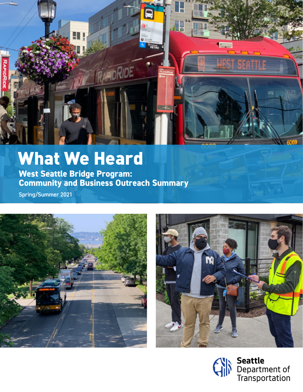

# What We Heard

**West Seattle Bridge Program: Community and Business Outreach Summary**

Spring/Summer 2021





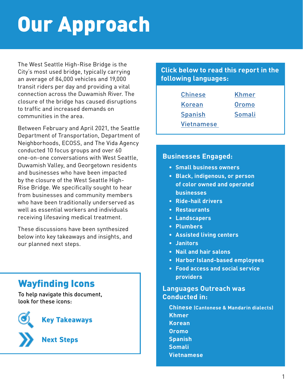# Our Approach

The West Seattle High-Rise Bridge is the City's most used bridge, typically carrying an average of 84,000 vehicles and 19,000 transit riders per day and providing a vital connection across the Duwamish River. The closure of the bridge has caused disruptions to traffic and increased demands on communities in the area.

Between February and April 2021, the Seattle Department of Transportation, Department of Neighborhoods, ECOSS, and The Vida Agency conducted 10 focus groups and over 60 one-on-one conversations with West Seattle, Duwamish Valley, and Georgetown residents and businesses who have been impacted by the closure of the West Seattle High-Rise Bridge. We specifically sought to hear from businesses and community members who have been traditionally underserved as well as essential workers and individuals receiving lifesaving medical treatment.

These discussions have been synthesized below into key takeaways and insights, and our planned next steps.

## Wayfinding Icons

To help navigate this document, look for these icons:

**Next Steps**

**Key Takeaways**



#### **Click below to read this report in the following languages:**

| <b>Chinese</b>    | <b>Khmer</b> |
|-------------------|--------------|
| <b>Korean</b>     | <b>Oromo</b> |
| <b>Spanish</b>    | Somali       |
| <b>Vietnamese</b> |              |

#### **Businesses Engaged:**

- **• Small business owners**
- **• Black, indigenous, or person of color owned and operated businesses**
- **• Ride-hail drivers**
- **• Restaurants**
- **• Landscapers**
- **• Plumbers**
- **• Assisted living centers**
- **• Janitors**
- **• Nail and hair salons**
- **• Harbor Island-based employees**
- **• Food access and social service providers**

#### **Languages Outreach was Conducted in:**

**Chinese (Cantonese & Mandarin dialects) Khmer Korean Oromo Spanish Somali Vietnamese**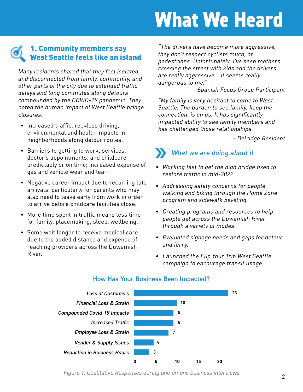# **What We Heard**

#### 1. Community members say West Seattle feels like an island

Many residents shared that they feel isolated and disconnected from family, community, and other parts of the city due to extended traffic delays and long commutes along detours compounded by the COVID-19 pandemic. They noted the human impact of West Seattle bridge closures:

- Increased traffic, reckless driving, environmental and health impacts in neighborhoods along detour routes.
- Barriers to getting to work, services, doctor's appointments, and childcare predictably or on time; increased expense of gas and vehicle wear and tear.
- Negative career impact due to recurring late arrivals, particularly for parents who may also need to leave early from work in order to arrive before childcare facilities close.
- More time spent in traffic means less time for family, placemaking, sleep, wellbeing.
- Some wait longer to receive medical care due to the added distance and expense of reaching providers across the Duwamish River.

"The drivers have become more aggressive, they don't respect cyclists much, or pedestrians. Unfortunately, I've seen mothers crossing the street with kids and the drivers are really aggressive... It seems really dangerous to me."

- Spanish Focus Group Participant

"My family is very hesitant to come to West Seattle. The burden to see family, keep the connection, is on us. It has significantly impacted ability to see family members and has challenged those relationships."

- Delridge Resident

## What we are doing about it

- Working fast to get the high bridge fixed to restore traffic in mid-2022.
- Addressing safety concerns for people walking and biking through the Home Zone program and sidewalk beveling.
- Creating programs and resources to help people get across the Duwamish River through a variety of modes.
- Evaluated signage needs and gaps for detour and ferry.
- Launched the Flip Your Trip West Seattle campaign to encourage transit usage.



#### How Has Your Business Been Impacted?

*Figure 1: Qualitative Responses during one-on-one business interviews*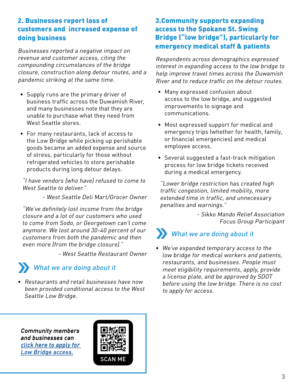#### 2. Businesses report loss of customers and increased expense of doing business

revenue and customer access, citing the compounding circumstances of the bridge closure, construction along detour routes, and a pandemic striking at the same time.

- Supply runs are the primary driver of business traffic across the Duwamish River, and many businesses note that they are unable to purchase what they need from West Seattle stores.
- For many restaurants, lack of access to the Low Bridge while picking up perishable goods became an added expense and source of stress, particularly for those without refrigerated vehicles to store perishable products during long detour delays.

"I have vendors [who have] refused to come to West Seattle to deliver."

- West Seattle Deli Mart/Grocer Owner

"We've definitely lost income from the bridge closure and a lot of our customers who used to come from Sodo, or Georgetown can't come anymore. We lost around 30-40 percent of our customers from both the pandemic and then even more [from the bridge closure]."

- West Seattle Restaurant Owner

#### What we are doing about it

• Restaurants and retail businesses have now been provided conditional access to the West Seattle Low Bridge.

#### 3.Community supports expanding access to the Spokane St. Swing Bridge ("low bridge"), particularly for Businesses reported a negative impact on **Emergency medical staff & patients**

Respondents across demographics expressed interest in expanding access to the low bridge to help improve travel times across the Duwamish River and to reduce traffic on the detour routes.

- Many expressed confusion about access to the low bridge, and suggested improvements to signage and communications.
- Most expressed support for medical and emergency trips (whether for health, family, or financial emergencies) and medical employee access.
- Several suggested a fast-track mitigation process for low bridge tickets received during a medical emergency.

"Lower bridge restriction has created high traffic congestion, limited mobility, more extended time in traffic, and unnecessary penalties and warnings."

> - Sikko Mando Relief Association Focus Group Participant

# What we are doing about it

• We've expanded temporary access to the low bridge for medical workers and patients, restaurants, and businesses. People must meet eligibility requirements, apply, provide a license plate, and be approved by SDOT before using the low bridge. There is no cost to apply for access.

Community members and businesses can [click here to apply for](https://go.participate.online/lowbridge-access-request)  [Low Bridge access.](https://go.participate.online/lowbridge-access-request)

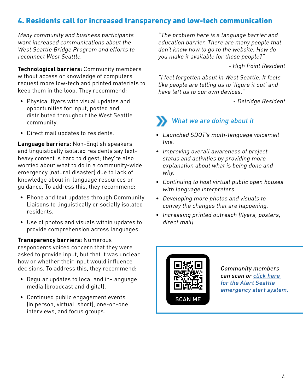#### 4. Residents call for increased transparency and low-tech communication

Many community and business participants want increased communications about the West Seattle Bridge Program and efforts to reconnect West Seattle.

**Technological barriers:** Community members without access or knowledge of computers request more low-tech and printed materials to keep them in the loop. They recommend:

- Physical flyers with visual updates and opportunities for input, posted and distributed throughout the West Seattle community.
- Direct mail updates to residents.

**Language barriers:** Non-English speakers and linguistically isolated residents say textheavy content is hard to digest; they're also worried about what to do in a community-wide emergency (natural disaster) due to lack of knowledge about in-language resources or guidance. To address this, they recommend:

- Phone and text updates through Community Liaisons to linguistically or socially isolated residents.
- Use of photos and visuals within updates to provide comprehension across languages.

#### **Transparency barriers:** Numerous

respondents voiced concern that they were asked to provide input, but that it was unclear how or whether their input would influence decisions. To address this, they recommend:

- Regular updates to local and in-language media (broadcast and digital).
- Continued public engagement events (in person, virtual, short), one-on-one interviews, and focus groups.

"The problem here is a language barrier and education barrier. There are many people that don't know how to go to the website. How do you make it available for those people?"

- High Point Resident

"I feel forgotten about in West Seattle. It feels like people are telling us to 'figure it out' and have left us to our own devices."

- Delridge Resident

### What we are doing about it

- Launched SDOT's multi-language voicemail line.
- Improving overall awareness of project status and activities by providing more explanation about what is being done and why.
- Continuing to host virtual public open houses with language interpreters.
- Developing more photos and visuals to convey the changes that are happening.
- Increasing printed outreach (flyers, posters, direct mail).



Community members can scan or [click here](https://www.smart911.com/smart911/ref/reg.action?pa=alertseattle)  [for the Alert Seattle](https://www.smart911.com/smart911/ref/reg.action?pa=alertseattle)  [emergency alert system.](https://www.smart911.com/smart911/ref/reg.action?pa=alertseattle)